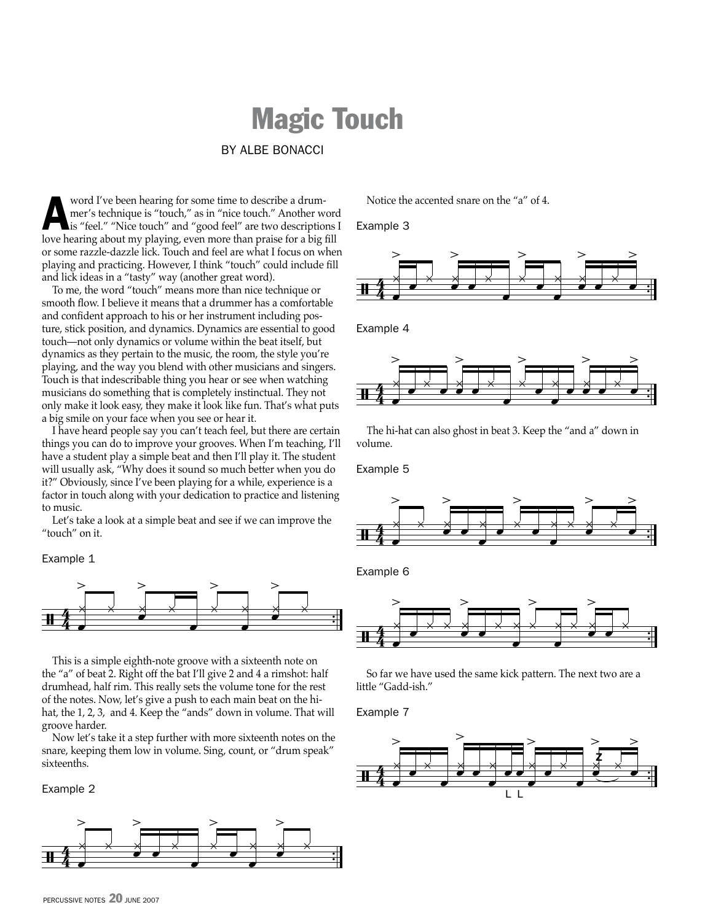## Magic Touch

By Albe Bonacci

word I've been hearing for some time to describe a drum-<br>mer's technique is "touch," as in "nice touch." Another w<br>is "feel." "Nice touch" and "good feel" are two description mer's technique is "touch," as in "nice touch." Another word is "feel." "Nice touch" and "good feel" are two descriptions I love hearing about my playing, even more than praise for a big fill or some razzle-dazzle lick. Touch and feel are what I focus on when playing and practicing. However, I think "touch" could include fill and lick ideas in a "tasty" way (another great word).

To me, the word "touch" means more than nice technique or smooth flow. I believe it means that a drummer has a comfortable and confident approach to his or her instrument including posture, stick position, and dynamics. Dynamics are essential to good touch—not only dynamics or volume within the beat itself, but dynamics as they pertain to the music, the room, the style you're playing, and the way you blend with other musicians and singers. Touch is that indescribable thing you hear or see when watching musicians do something that is completely instinctual. They not only make it look easy, they make it look like fun. That's what puts a big smile on your face when you see or hear it.

I have heard people say you can't teach feel, but there are certain things you can do to improve your grooves. When I'm teaching, I'll have a student play a simple beat and then I'll play it. The student will usually ask, "Why does it sound so much better when you do it?" Obviously, since I've been playing for a while, experience is a factor in touch along with your dedication to practice and listening to music.

Let's take a look at a simple beat and see if we can improve the "touch" on it.

## Example 1



This is a simple eighth-note groove with a sixteenth note on the "a" of beat 2. Right off the bat I'll give 2 and 4 a rimshot: half drumhead, half rim. This really sets the volume tone for the rest of the notes. Now, let's give a push to each main beat on the hihat, the 1, 2, 3, and 4. Keep the "ands" down in volume. That will groove harder.

Now let's take it a step further with more sixteenth notes on the snare, keeping them low in volume. Sing, count, or "drum speak" sixteenths.

Example 2



Notice the accented snare on the "a" of 4.

Example 3



Example 4



The hi-hat can also ghost in beat 3. Keep the "and a" down in volume.

Example 5



Example 6



So far we have used the same kick pattern. The next two are a little "Gadd-ish."

Example 7